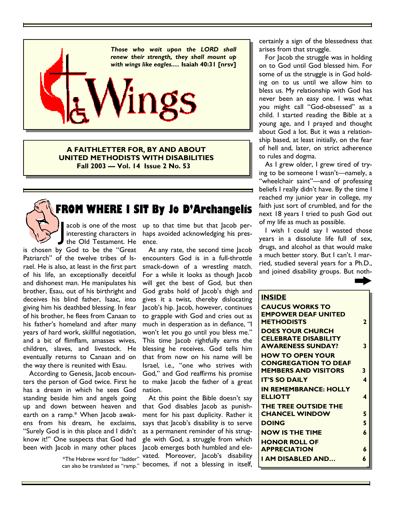

**A FAITHLETTER FOR, BY AND ABOUT UNITED METHODISTS WITH DISABILITIES Fall 2003 — Vol. 14 Issue 2 No. 53** 

# **FROM WHERE I SIT By Jo D'Archangelis**

the Old Testament. He ence. acob is one of the most<br>interesting characters in<br>the Old Testament. He interesting characters in

is chosen by God to be the "Great Patriarch" of the twelve tribes of Israel. He is also, at least in the first part of his life, an exceptionally deceitful and dishonest man. He manipulates his brother, Esau, out of his birthright and deceives his blind father, Isaac, into giving him his deathbed blessing. In fear of his brother, he flees from Canaan to his father's homeland and after many years of hard work, skillful negotiation, and a bit of flimflam, amasses wives, children, slaves, and livestock. He eventually returns to Canaan and on the way there is reunited with Esau.

 According to Genesis, Jacob encounters the person of God twice. First he has a dream in which he sees God standing beside him and angels going up and down between heaven and earth on a ramp.\* When Jacob awakens from his dream, he exclaims, "Surely God is in this place and I didn't know it!" One suspects that God had been with Jacob in many other places

> \*The Hebrew word for "ladder" can also be translated as "ramp."

acob is one of the most up to that time but that lacob perhaps avoided acknowledging his pres-

> At any rate, the second time Jacob encounters God is in a full-throttle smack-down of a wrestling match. For a while it looks as though Jacob will get the best of God, but then God grabs hold of Jacob's thigh and gives it a twist, thereby dislocating Jacob's hip. Jacob, however, continues to grapple with God and cries out as much in desperation as in defiance, "I won't let you go until you bless me." This time Jacob rightfully earns the blessing he receives. God tells him that from now on his name will be Israel, i.e., "one who strives with God," and God reaffirms his promise to make Jacob the father of a great nation.

> At this point the Bible doesn't say that God disables Jacob as punishment for his past duplicity. Rather it says that Jacob's disability is to serve as a permanent reminder of his struggle with God, a struggle from which Jacob emerges both humbled and elevated. Moreover, Jacob's disability becomes, if not a blessing in itself,

certainly a sign of the blessedness that arises from that struggle.

 For Jacob the struggle was in holding on to God until God blessed him. For some of us the struggle is in God holding on to us until we allow him to bless us. My relationship with God has never been an easy one. I was what you might call "God-obsessed" as a child. I started reading the Bible at a young age, and I prayed and thought about God a lot. But it was a relationship based, at least initially, on the fear of hell and, later, on strict adherence to rules and dogma.

 As I grew older, I grew tired of trying to be someone I wasn't—namely, a "wheelchair saint"—and of professing beliefs I really didn't have. By the time I reached my junior year in college, my faith just sort of crumbled, and for the next 18 years I tried to push God out of my life as much as possible.

 I wish I could say I wasted those years in a dissolute life full of sex, drugs, and alcohol as that would make a much better story. But I can't. I married, studied several years for a Ph.D., and joined disability groups. But noth-

| <b>INSIDE</b>                                   |                |
|-------------------------------------------------|----------------|
| <b>CAUCUS WORKS TO</b>                          |                |
| <b>EMPOWER DEAF UNITED</b><br><b>METHODISTS</b> | $\overline{2}$ |
| <b>DOES YOUR CHURCH</b>                         |                |
| <b>CELEBRATE DISABILITY</b>                     |                |
| <b>AWARENESS SUNDAY?</b>                        | 3              |
| <b>HOW TO OPEN YOUR</b>                         |                |
| <b>CONGREGATION TO DEAF</b>                     |                |
| <b>MEMBERS AND VISITORS</b>                     | 3              |
| <b>IT'S SO DAILY</b>                            | 4              |
| <b>IN REMEMBRANCE: HOLLY</b>                    |                |
| <b>ELLIOTT</b>                                  | 4              |
| THE TREE OUTSIDE THE                            |                |
| <b>CHANCEL WINDOW</b>                           | 5              |
| <b>DOING</b>                                    | 5              |
| <b>NOW IS THE TIME</b>                          | 6              |
| <b>HONOR ROLL OF</b>                            |                |
| <b>APPRECIATION</b>                             | 6              |
| I AM DISABLED AND                               | 6              |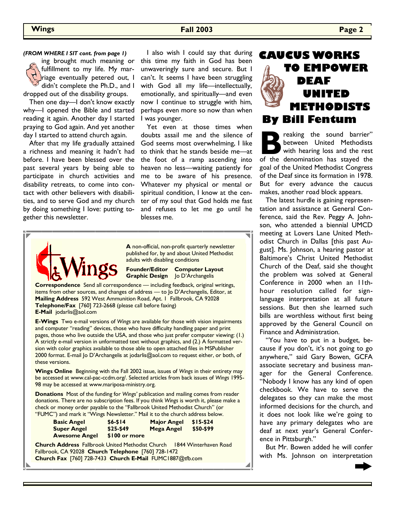**Wings Fall 2003 Page 2** 

#### *(FROM WHERE I SIT cont. from page 1)*

ing brought much meaning or fulfillment to my life. My marriage eventually petered out, I didn't complete the Ph.D., and I dropped out of the disability groups.

 Then one day—I don't know exactly why—I opened the Bible and started reading it again. Another day I started praying to God again. And yet another day I started to attend church again.

 After that my life gradually attained a richness and meaning it hadn't had before. I have been blessed over the past several years by being able to participate in church activities and disability retreats, to come into contact with other believers with disabilities, and to serve God and my church by doing something I love: putting together this newsletter.

 I also wish I could say that during this time my faith in God has been unwaveringly sure and secure. But I can't. It seems I have been struggling with God all my life—intellectually, emotionally, and spiritually—and even now I continue to struggle with him, perhaps even more so now than when I was younger.

 Yet even at those times when doubts assail me and the silence of God seems most overwhelming, I like to think that he stands beside me—at the foot of a ramp ascending into heaven no less—waiting patiently for me to be aware of his presence. Whatever my physical or mental or spiritual condition, I know at the center of my soul that God holds me fast and refuses to let me go until he blesses me.



**A** non-official, non-profit quarterly newsletter published for, by and about United Methodist adults with disabling conditions

**Founder/Editor Computer Layout Graphic Design** Jo D'Archangelis

**Correspondence** Send all correspondence — including feedback, original writings, items from other sources, and changes of address — to Jo D'Archangelis, Editor, at **Mailing Address** 592 West Ammunition Road, Apt. 1 Fallbrook, CA 92028 **Telephone/Fax** [760] 723-2668 (please call before faxing) **E-Mail** jodarlis@aol.com

**E-Wings** Two e-mail versions of *Wings* are available for those with vision impairments and computer "reading" devices, those who have difficulty handling paper and print pages, those who live outside the USA, and those who just prefer computer viewing: (1.) A strictly e-mail version in unformatted text without graphics, and (2.) A formatted version with color graphics available to those able to open attached files in MSPublisher 2000 format. E-mail Jo D'Archangelis at jodarlis@aol.com to request either, or both, of these versions.

**Wings Online** Beginning with the Fall 2002 issue, issues of *Wings* in their entirety may be accessed at www.cal-pac-ccdm.org/. Selected articles from back issues of *Wings* 1995- 98 may be accessed at www.mariposa-ministry.org.

**Donations** Most of the funding for *Wings'* publication and mailing comes from reader donations. There are no subscription fees. If you think *Wings* is worth it, please make a check or money order payable to the "Fallbrook United Methodist Church" (or "FUMC") and mark it "Wings Newsletter." Mail it to the church address below.

| <b>Basic Angel</b>   | $$6 - $14$    | <b>Major Angel</b> | \$15-\$24 |  |
|----------------------|---------------|--------------------|-----------|--|
| <b>Super Angel</b>   | \$25-\$49     | <b>Mega Angel</b>  | \$50-\$99 |  |
| <b>Awesome Angel</b> | \$100 or more |                    |           |  |

**Church Address** Fallbrook United Methodist Church 1844 Winterhaven Road Fallbrook, CA 92028 **Church Telephone** [760] 728-1472 **Church Fax** [760] 728-7433 **Church E-Mail** FUMC1887@tfb.com

# **CAUCUS WORKS TO EMPOWER DEAF UNITED METHODISTS By Bill Fentum**

**B** reaking the sound barrier" between United Methodists with hearing loss and the rest of the denomination has stayed the between United Methodists with hearing loss and the rest goal of the United Methodist Congress of the Deaf since its formation in 1978. But for every advance the caucus makes, another road block appears.

 The latest hurdle is gaining representation and assistance at General Conference, said the Rev. Peggy A. Johnson, who attended a biennial UMCD meeting at Lovers Lane United Methodist Church in Dallas [this past August]. Ms. Johnson, a hearing pastor at Baltimore's Christ United Methodist Church of the Deaf, said she thought the problem was solved at General Conference in 2000 when an 11thhour resolution called for signlanguage interpretation at all future sessions. But then she learned such bills are worthless without first being approved by the General Council on Finance and Administration.

 "You have to put in a budget, because if you don't, it's not going to go anywhere," said Gary Bowen, GCFA associate secretary and business manager for the General Conference. "Nobody I know has any kind of open checkbook. We have to serve the delegates so they can make the most informed decisions for the church, and it does not look like we're going to have any primary delegates who are deaf at next year's General Conference in Pittsburgh."

 But Mr. Bowen added he will confer with Ms. Johnson on interpretation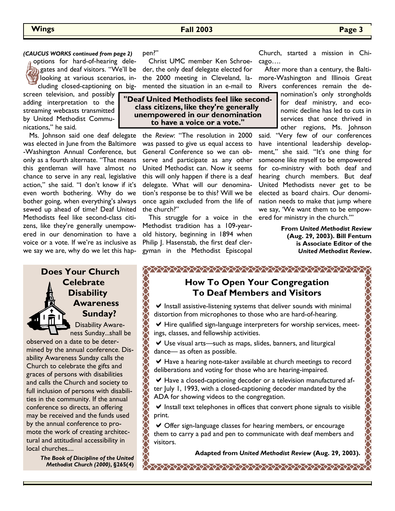#### *(CAUCUS WORKS continued from page 2)* pen?" and the control of the chi-

options for hard-of-hearing dele-**R** gates and deaf visitors. "We'll be looking at various scenarios, including closed-captioning on big-

screen television, and possibly adding interpretation to the streaming webcasts transmitted by United Methodist Communications," he said.

 Ms. Johnson said one deaf delegate was elected in June from the Baltimore -Washington Annual Conference, but only as a fourth alternate. "That means this gentleman will have almost no chance to serve in any real, legislative action," she said. "I don't know if it's even worth bothering. Why do we bother going, when everything's always sewed up ahead of time? Deaf United Methodists feel like second-class citizens, like they're generally unempowered in our denomination to have a voice or a vote. If we're as inclusive as we say we are, why do we let this hap-

## **Does Your Church Celebrate Disability Awareness Sunday?**

Disability Awareness Sunday...shall be observed on a date to be determined by the annual conference. Disability Awareness Sunday calls the Church to celebrate the gifts and graces of persons with disabilities and calls the Church and society to full inclusion of persons with disabilities in the community. If the annual conference so directs, an offering may be received and the funds used by the annual conference to promote the work of creating architectural and attitudinal accessibility in local churches....

> *The Book of Discipline of the United Methodist Church (2000)***, §265(4)**

pen?"

 Christ UMC member Ken Schroeder, the only deaf delegate elected for the 2000 meeting in Cleveland, lamented the situation in an e-mail to

"Deaf United Methodists feel like secondclass citizens, like they're generally unempowered in our denomination to have a voice or a vote."

> the *Review*: "The resolution in 2000 was passed to give us equal access to General Conference so we can observe and participate as any other United Methodist can. Now it seems this will only happen if there is a deaf delegate. What will our denomination's response be to this? Will we be once again excluded from the life of the church?"

 This struggle for a voice in the Methodist tradition has a 109-yearold history, beginning in 1894 when Philip J. Hasenstab, the first deaf clergyman in the Methodist Episcopal cago….

 After more than a century, the Baltimore-Washington and Illinois Great Rivers conferences remain the de-

> nomination's only strongholds for deaf ministry, and economic decline has led to cuts in services that once thrived in other regions, Ms. Johnson

said. "Very few of our conferences have intentional leadership development," she said. "It's one thing for someone like myself to be empowered for co-ministry with both deaf and hearing church members. But deaf United Methodists never get to be elected as board chairs. Our denomination needs to make that jump where we say, 'We want them to be empowered for ministry in the church.'"

> **From** *United Methodist Review* **(Aug. 29, 2003). Bill Fentum is Associate Editor of the**  *United Methodist Review***.**

> > A COOLAR COOLAR COOLAR COOLAR COOLAR

## **How To Open Your Congregation To Deaf Members and Visitors**

 $\vee$  Install assistive-listening systems that deliver sounds with minimal distortion from microphones to those who are hard-of-hearing.

 $\vee$  Hire qualified sign-language interpreters for worship services, meetings, classes, and fellowship activities.

Use visual arts—such as maps, slides, banners, and liturgical dance— as often as possible.

◆ Have a hearing note-taker available at church meetings to record deliberations and voting for those who are hearing-impaired.

 $\blacktriangleright$  Have a closed-captioning decoder or a television manufactured after July 1, 1993, with a closed-captioning decoder mandated by the ADA for showing videos to the congregation.

 $\vee$  Install text telephones in offices that convert phone signals to visible print.

Offer sign-language classes for hearing members, or encourage them to carry a pad and pen to communicate with deaf members and visitors.

**Adapted from** *United Methodist Review* **(Aug. 29, 2003).**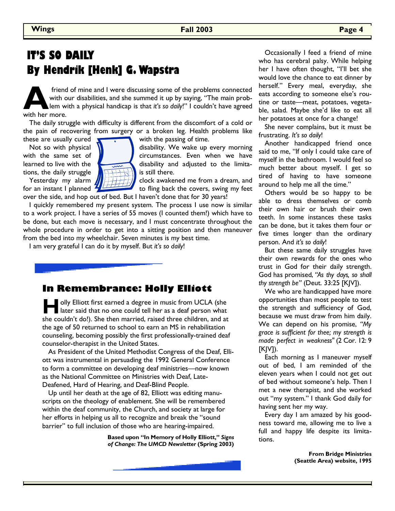# **IT'S SO DAILY By Hendrik [Henk] G. Wapstra**

friend of mine and I were discussing some of the problems connected with our disabilities, and she summed it up by saying, "The main problem with a physical handicap is that *it*'s so *daily!*" I couldn't have agreed with with our disabilities, and she summed it up by saying, "The main problem with a physical handicap is that *it's so daily*!" I couldn't have agreed with her more.

 The daily struggle with difficulty is different from the discomfort of a cold or the pain of recovering from surgery or a broken leg. Health problems like these are usually cured  $\bullet$ , with the passing of time.

tions, the daily struggle  $\|\|$   $\|$  is still there.



Not so with physical  $\mathbf N$  disability. We wake up every morning with the same set of  $\mathbb{Z}$  circumstances. Even when we have learned to live with the disability and adjusted to the limita-

Yesterday my alarm  $\sqrt{|\cdot|+|+|}$  clock awakened me from a dream, and for an instant I planned  $\frac{1}{2}$  for fling back the covers, swing my feet over the side, and hop out of bed. But I haven't done that for 30 years!

 I quickly remembered my present system. The process I use now is similar to a work project. I have a series of 55 moves (I counted them!) which have to be done, but each move is necessary, and I must concentrate throughout the whole procedure in order to get into a sitting position and then maneuver from the bed into my wheelchair. Seven minutes is my best time.

I am very grateful I can do it by myself. But *it's so daily*!

## **In Remembrance: Holly Elliott**

**H** olly Elliott first earned a degree in music from UCLA (she later said that no one could tell her as a deaf person what she couldn't do!). She then married, raised three children, and at the age of 50 returned to school to earn an MS in rehabilitation counseling, becoming possibly the first professionally-trained deaf counselor-therapist in the United States.

 As President of the United Methodist Congress of the Deaf, Elliott was instrumental in persuading the 1992 General Conference to form a committee on developing deaf ministries—now known as the National Committee on Ministries with Deaf, Late-Deafened, Hard of Hearing, and Deaf-Blind People.

 Up until her death at the age of 82, Elliott was editing manuscripts on the theology of enablement. She will be remembered within the deaf community, the Church, and society at large for her efforts in helping us all to recognize and break the "sound barrier" to full inclusion of those who are hearing-impaired.

> **Based upon "In Memory of Holly Elliott,"** *Signs of Change: The UMCD Newsletter* **(Spring 2003)**

 Occasionally I feed a friend of mine who has cerebral palsy. While helping her I have often thought, "I'll bet she would love the chance to eat dinner by herself." Every meal, everyday, she eats according to someone else's routine or taste—meat, potatoes, vegetable, salad. Maybe she'd like to eat all her potatoes at once for a change!

 She never complains, but it must be frustrating. *It's so daily*!

 Another handicapped friend once said to me, "If only I could take care of myself in the bathroom. I would feel so much better about myself. I get so tired of having to have someone around to help me all the time."

 Others would be so happy to be able to dress themselves or comb their own hair or brush their own teeth. In some instances these tasks can be done, but it takes them four or five times longer than the ordinary person. And *it's so daily*!

 But these same daily struggles have their own rewards for the ones who trust in God for their daily strength. God has promised, *"As thy days, so shall thy strength be"* (Deut. 33:25 [KJV]).

 We who are handicapped have more opportunities than most people to test the strength and sufficiency of God, because we must draw from him daily. We can depend on his promise, *"My grace is sufficient for thee; my strength is made perfect in weakness"* (2 Cor. 12: 9  $[K|V]$ ).

 Each morning as I maneuver myself out of bed, I am reminded of the eleven years when I could not get out of bed without someone's help. Then I met a new therapist, and she worked out "my system." I thank God daily for having sent her my way.

 Every day I am amazed by his goodness toward me, allowing me to live a full and happy life despite its limitations.

> **From Bridge Ministries (Seattle Area) website, 1995**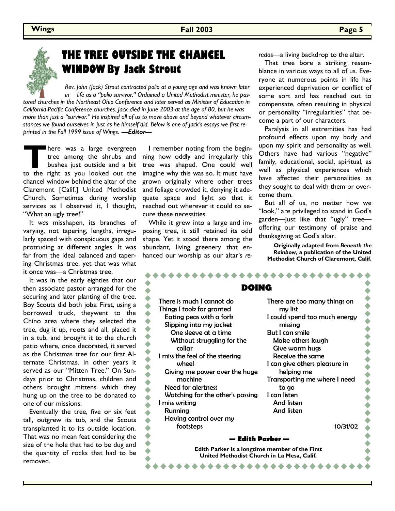

# **THE TREE OUTSIDE THE CHANCEL WINDOW By Jack Strout**

 *Rev. John (Jack) Strout contracted polio at a young age and was known later in life as a "polio survivor." Ordained a United Methodist minister, he pastored churches in the Northeast Ohio Conference and later served as Minister of Education in California-Pacific Conference churches. Jack died in June 2003 at the age of 80, but he was more than just a "survivor." He inspired all of us to move above and beyond whatever circumstances we found ourselves in just as he himself did. Below is one of Jack's essays we first reprinted in the Fall 1999 issue of Wings. —Editor—*

**THERE WAS A large evergreen**<br>tree among the shrubs and<br>bushes just outside and a bit<br>to the right as you looked out the tree among the shrubs and bushes just outside and a bit chancel window behind the altar of the Claremont [Calif.] United Methodist Church. Sometimes during worship services as I observed it, I thought, "What an ugly tree!"

 It *was* misshapen, its branches of varying, not tapering, lengths, irregularly spaced with conspicuous gaps and protruding at different angles. It was far from the ideal balanced and tapering Christmas tree, yet that was what it once was—a Christmas tree.

 It was in the early eighties that our then associate pastor arranged for the securing and later planting of the tree. Boy Scouts did both jobs. First, using a borrowed truck, theywent to the Chino area where they selected the tree, dug it up, roots and all, placed it in a tub, and brought it to the church patio where, once decorated, it served as the Christmas tree for our first Alternate Christmas. In other years it served as our "Mitten Tree." On Sundays prior to Christmas, children and others brought mittens which they hung up on the tree to be donated to one of our missions.

 Eventually the tree, five or six feet tall, outgrew its tub, and the Scouts transplanted it to its outside location. That was no mean feat considering the size of the hole that had to be dug and the quantity of rocks that had to be removed.

 I remember noting from the beginning how oddly and irregularly this tree was shaped. One could well imagine why this was so. It must have grown originally where other trees and foliage crowded it, denying it adequate space and light so that it reached out wherever it could to secure these necessities.

 While it grew into a large and imposing tree, it still retained its odd shape. Yet it stood there among the abundant, living greenery that enhanced our worship as our altar's *re-* *redos*—a living backdrop to the altar.

 That tree bore a striking resemblance in various ways to all of us. Everyone at numerous points in life has experienced deprivation or conflict of some sort and has reached out to compensate, often resulting in physical or personality "irregularities" that become a part of our characters.

 Paralysis in all extremities has had profound effects upon my body and upon my spirit and personality as well. Others have had various "negative" family, educational, social, spiritual, as well as physical experiences which have affected their personalities as they sought to deal with them or overcome them.

 But all of us, no matter how we "look," are privileged to stand in God's garden—just like that "ugly" tree offering our testimony of praise and thanksgiving at God's altar.

**Originally adapted from** *Beneath the Rainbow***, a publication of the United Methodist Church of Claremont, Calif.**

| DOING                                                                                                                                                                                                                                                                                                                                                                                                     |                                                                                                                                                                                                                                                                                                                                 |  |  |  |  |
|-----------------------------------------------------------------------------------------------------------------------------------------------------------------------------------------------------------------------------------------------------------------------------------------------------------------------------------------------------------------------------------------------------------|---------------------------------------------------------------------------------------------------------------------------------------------------------------------------------------------------------------------------------------------------------------------------------------------------------------------------------|--|--|--|--|
| There is much I cannot do<br>Things I took for granted<br>Eating peas with a fork<br>Slipping into my jacket<br>One sleeve at a time<br>Without struggling for the<br>collar<br>I miss the feel of the steering<br>wheel<br>Giving me power over the huge<br>machine<br><b>Need for alertness</b><br>Watching for the other's passing<br>I miss writing<br>Running<br>Having control over my<br>footsteps | There are too many things on<br>my list<br>I could spend too much energy<br>missing<br>But I can smile<br>Make others laugh<br>Give warm hugs<br>Receive the same<br>I can give others pleasure in<br>helping me<br>Transporting me where I need<br>to go<br>I can listen<br><b>And listen</b><br><b>And listen</b><br>10/31/02 |  |  |  |  |
| — Edith Parker —                                                                                                                                                                                                                                                                                                                                                                                          |                                                                                                                                                                                                                                                                                                                                 |  |  |  |  |
| Edith Parker is a longtime member of the First<br>United Methodist Church in La Mesa, Calif.                                                                                                                                                                                                                                                                                                              |                                                                                                                                                                                                                                                                                                                                 |  |  |  |  |
|                                                                                                                                                                                                                                                                                                                                                                                                           |                                                                                                                                                                                                                                                                                                                                 |  |  |  |  |